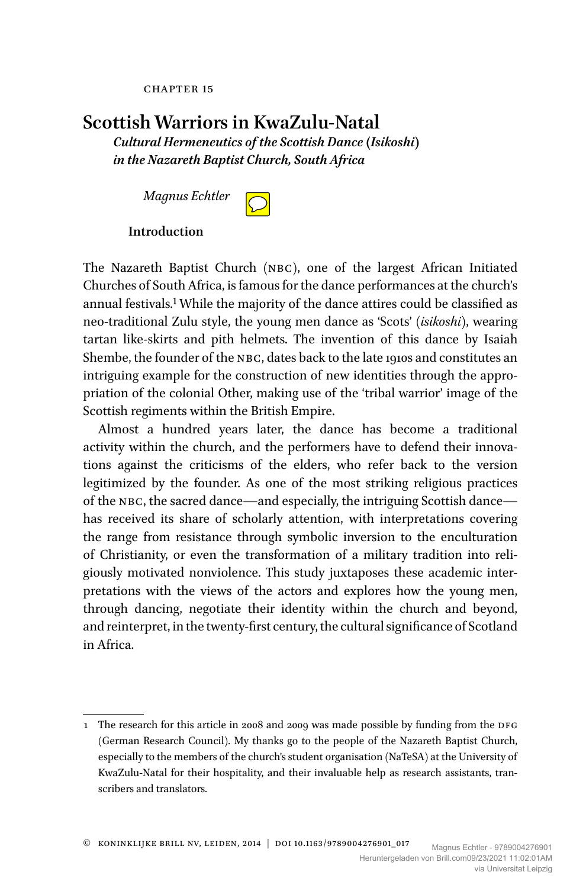### CHAPTER 15

# **Scottish Warriors in KwaZulu-Natal**

*Cultural Hermeneutics of the Scottish Dance (Isikoshi) in the Nazareth Baptist Church, South Africa*

*Magnus Echtler*



## **Introduction**

The Nazareth Baptist Church (NBC), one of the largest African Initiated Churches of South Africa, is famous for the dance performances at the church's annual festivals.1 While the majority of the dance attires could be classified as neo-traditional Zulu style, the young men dance as 'Scots' (*isikoshi*), wearing tartan like-skirts and pith helmets. The invention of this dance by Isaiah Shembe, the founder of the NBC, dates back to the late 1910s and constitutes an intriguing example for the construction of new identities through the appropriation of the colonial Other, making use of the 'tribal warrior' image of the Scottish regiments within the British Empire.

Almost a hundred years later, the dance has become a traditional activity within the church, and the performers have to defend their innovations against the criticisms of the elders, who refer back to the version legitimized by the founder. As one of the most striking religious practices of the NBC, the sacred dance—and especially, the intriguing Scottish dance has received its share of scholarly attention, with interpretations covering the range from resistance through symbolic inversion to the enculturation of Christianity, or even the transformation of a military tradition into religiously motivated nonviolence. This study juxtaposes these academic interpretations with the views of the actors and explores how the young men, through dancing, negotiate their identity within the church and beyond, and reinterpret, in the twenty-first century, the cultural significance of Scotland in Africa.

<sup>1</sup> The research for this article in 2008 and 2009 was made possible by funding from the DFG (German Research Council). My thanks go to the people of the Nazareth Baptist Church, especially to the members of the church's student organisation (NaTeSA) at the University of KwaZulu-Natal for their hospitality, and their invaluable help as research assistants, transcribers and translators.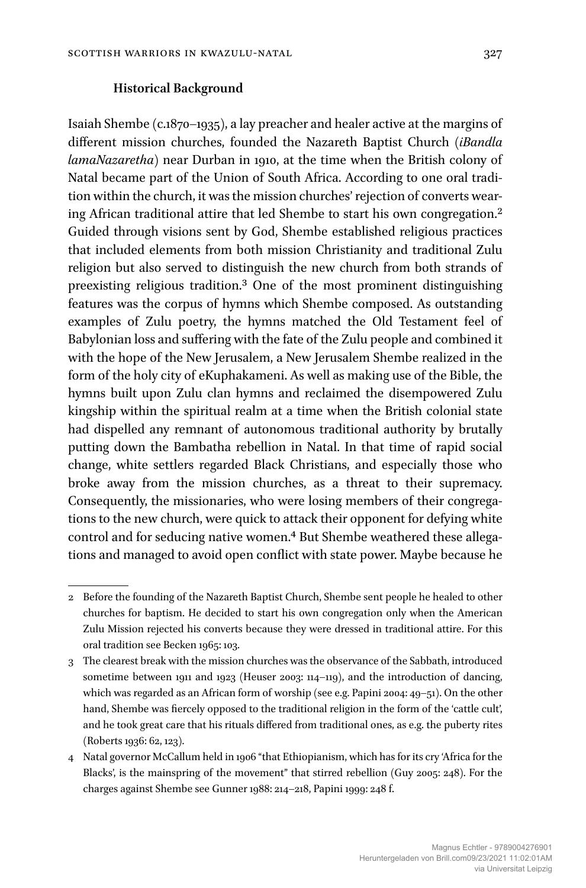### **Historical Background**

Isaiah Shembe (c.1870–1935), a lay preacher and healer active at the margins of different mission churches, founded the Nazareth Baptist Church (*iBandla lamaNazaretha*) near Durban in 1910, at the time when the British colony of Natal became part of the Union of South Africa. According to one oral tradition within the church, it was the mission churches' rejection of converts wearing African traditional attire that led Shembe to start his own congregation.2 Guided through visions sent by God, Shembe established religious practices that included elements from both mission Christianity and traditional Zulu religion but also served to distinguish the new church from both strands of preexisting religious tradition.3 One of the most prominent distinguishing features was the corpus of hymns which Shembe composed. As outstanding examples of Zulu poetry, the hymns matched the Old Testament feel of Babylonian loss and suffering with the fate of the Zulu people and combined it with the hope of the New Jerusalem, a New Jerusalem Shembe realized in the form of the holy city of eKuphakameni. As well as making use of the Bible, the hymns built upon Zulu clan hymns and reclaimed the disempowered Zulu kingship within the spiritual realm at a time when the British colonial state had dispelled any remnant of autonomous traditional authority by brutally putting down the Bambatha rebellion in Natal. In that time of rapid social change, white settlers regarded Black Christians, and especially those who broke away from the mission churches, as a threat to their supremacy. Consequently, the missionaries, who were losing members of their congregations to the new church, were quick to attack their opponent for defying white control and for seducing native women.<sup>4</sup> But Shembe weathered these allegations and managed to avoid open conflict with state power. Maybe because he

<sup>2</sup> Before the founding of the Nazareth Baptist Church, Shembe sent people he healed to other churches for baptism. He decided to start his own congregation only when the American Zulu Mission rejected his converts because they were dressed in traditional attire. For this oral tradition see Becken 1965: 103.

<sup>3</sup> The clearest break with the mission churches was the observance of the Sabbath, introduced sometime between 1911 and 1923 (Heuser 2003: 114–119), and the introduction of dancing, which was regarded as an African form of worship (see e.g. Papini 2004: 49–51). On the other hand, Shembe was fiercely opposed to the traditional religion in the form of the 'cattle cult', and he took great care that his rituals differed from traditional ones, as e.g. the puberty rites (Roberts 1936: 62, 123).

<sup>4</sup> Natal governor McCallum held in 1906 "that Ethiopianism, which has for its cry 'Africa for the Blacks', is the mainspring of the movement" that stirred rebellion (Guy 2005: 248). For the charges against Shembe see Gunner 1988: 214–218, Papini 1999: 248 f.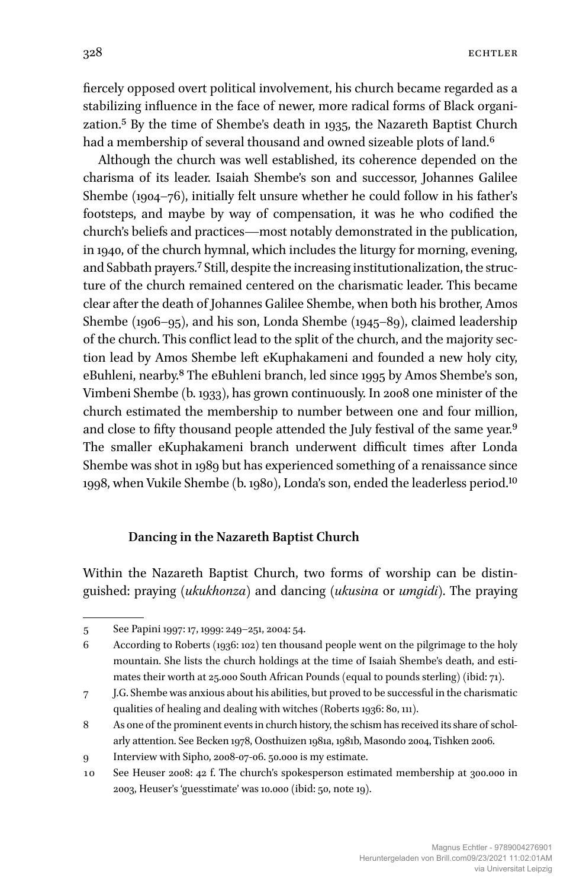fiercely opposed overt political involvement, his church became regarded as a stabilizing influence in the face of newer, more radical forms of Black organization.<sup>5</sup> By the time of Shembe's death in 1935, the Nazareth Baptist Church had a membership of several thousand and owned sizeable plots of land.<sup>6</sup>

Although the church was well established, its coherence depended on the charisma of its leader. Isaiah Shembe's son and successor, Johannes Galilee Shembe (1904–76), initially felt unsure whether he could follow in his father's footsteps, and maybe by way of compensation, it was he who codified the church's beliefs and practices—most notably demonstrated in the publication, in 1940, of the church hymnal, which includes the liturgy for morning, evening, and Sabbath prayers.7 Still, despite the increasing institutionalization, the structure of the church remained centered on the charismatic leader. This became clear after the death of Johannes Galilee Shembe, when both his brother, Amos Shembe (1906–95), and his son, Londa Shembe (1945–89), claimed leadership of the church. This conflict lead to the split of the church, and the majority section lead by Amos Shembe left eKuphakameni and founded a new holy city, eBuhleni, nearby.8 The eBuhleni branch, led since 1995 by Amos Shembe's son, Vimbeni Shembe (b. 1933), has grown continuously. In 2008 one minister of the church estimated the membership to number between one and four million, and close to fifty thousand people attended the July festival of the same year.<sup>9</sup> The smaller eKuphakameni branch underwent difficult times after Londa Shembe was shot in 1989 but has experienced something of a renaissance since 1998, when Vukile Shembe (b. 1980), Londa's son, ended the leaderless period.10

## **Dancing in the Nazareth Baptist Church**

Within the Nazareth Baptist Church, two forms of worship can be distinguished: praying (*ukukhonza*) and dancing (*ukusina* or *umgidi*). The praying

<sup>5</sup> See Papini 1997: 17, 1999: 249–251, 2004: 54.

<sup>6</sup> According to Roberts (1936: 102) ten thousand people went on the pilgrimage to the holy mountain. She lists the church holdings at the time of Isaiah Shembe's death, and estimates their worth at 25.000 South African Pounds (equal to pounds sterling) (ibid: 71).

<sup>7</sup> J.G. Shembe was anxious about his abilities, but proved to be successful in the charismatic qualities of healing and dealing with witches (Roberts 1936: 80, 111).

<sup>8</sup> As one of the prominent events in church history, the schism has received its share of scholarly attention. See Becken 1978, Oosthuizen 1981a, 1981b, Masondo 2004, Tishken 2006.

<sup>9</sup> Interview with Sipho, 2008-07-06. 50.000 is my estimate.

<sup>10</sup> See Heuser 2008: 42 f. The church's spokesperson estimated membership at 300.000 in 2003, Heuser's 'guesstimate' was 10.000 (ibid: 50, note 19).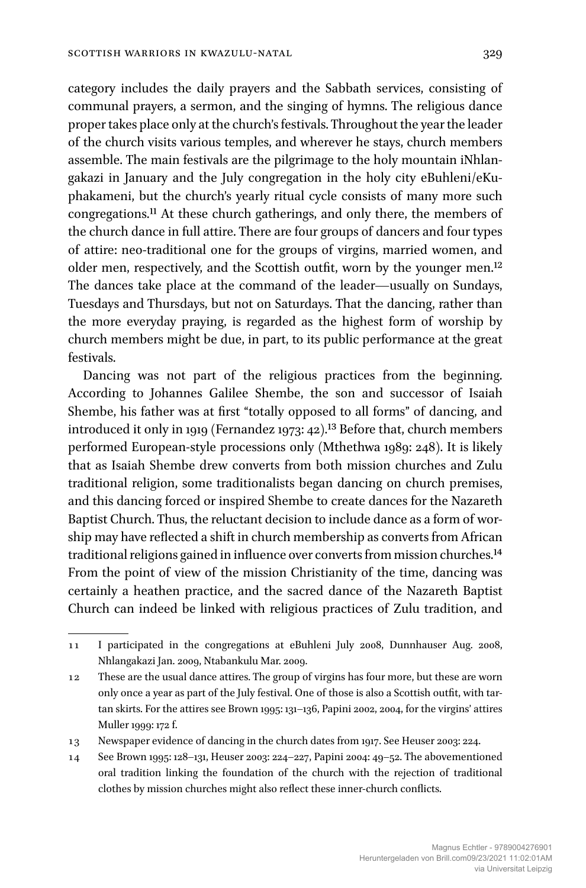category includes the daily prayers and the Sabbath services, consisting of communal prayers, a sermon, and the singing of hymns. The religious dance proper takes place only at the church's festivals. Throughout the year the leader of the church visits various temples, and wherever he stays, church members assemble. The main festivals are the pilgrimage to the holy mountain iNhlangakazi in January and the July congregation in the holy city eBuhleni/eKuphakameni, but the church's yearly ritual cycle consists of many more such congregations.11 At these church gatherings, and only there, the members of the church dance in full attire. There are four groups of dancers and four types of attire: neo-traditional one for the groups of virgins, married women, and older men, respectively, and the Scottish outfit, worn by the younger men.<sup>12</sup> The dances take place at the command of the leader—usually on Sundays, Tuesdays and Thursdays, but not on Saturdays. That the dancing, rather than the more everyday praying, is regarded as the highest form of worship by church members might be due, in part, to its public performance at the great festivals.

Dancing was not part of the religious practices from the beginning. According to Johannes Galilee Shembe, the son and successor of Isaiah Shembe, his father was at first "totally opposed to all forms" of dancing, and introduced it only in 1919 (Fernandez 1973: 42).13 Before that, church members performed European-style processions only (Mthethwa 1989: 248). It is likely that as Isaiah Shembe drew converts from both mission churches and Zulu traditional religion, some traditionalists began dancing on church premises, and this dancing forced or inspired Shembe to create dances for the Nazareth Baptist Church. Thus, the reluctant decision to include dance as a form of worship may have reflected a shift in church membership as converts from African traditional religions gained in influence over converts from mission churches.<sup>14</sup> From the point of view of the mission Christianity of the time, dancing was certainly a heathen practice, and the sacred dance of the Nazareth Baptist Church can indeed be linked with religious practices of Zulu tradition, and

<sup>11</sup> I participated in the congregations at eBuhleni July 2008, Dunnhauser Aug. 2008, Nhlangakazi Jan. 2009, Ntabankulu Mar. 2009.

<sup>12</sup> These are the usual dance attires. The group of virgins has four more, but these are worn only once a year as part of the July festival. One of those is also a Scottish outfit, with tartan skirts. For the attires see Brown 1995: 131–136, Papini 2002, 2004, for the virgins' attires Muller 1999: 172 f.

<sup>13</sup> Newspaper evidence of dancing in the church dates from 1917. See Heuser 2003: 224.

<sup>14</sup> See Brown 1995: 128–131, Heuser 2003: 224–227, Papini 2004: 49–52. The abovementioned oral tradition linking the foundation of the church with the rejection of traditional clothes by mission churches might also reflect these inner-church conflicts.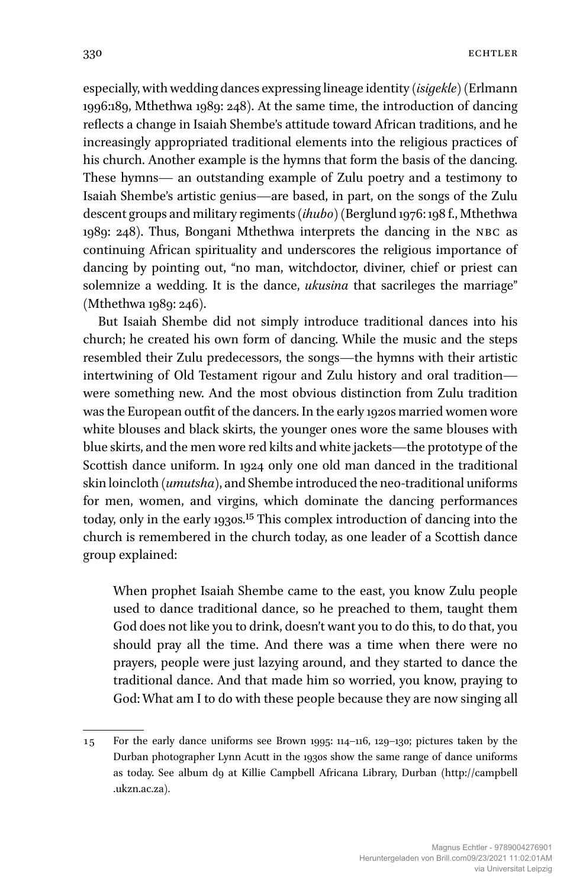especially, with wedding dances expressing lineage identity (*isigekle*) (Erlmann 1996:189, Mthethwa 1989: 248). At the same time, the introduction of dancing reflects a change in Isaiah Shembe's attitude toward African traditions, and he increasingly appropriated traditional elements into the religious practices of his church. Another example is the hymns that form the basis of the dancing. These hymns— an outstanding example of Zulu poetry and a testimony to Isaiah Shembe's artistic genius—are based, in part, on the songs of the Zulu descent groups and military regiments (*ihubo*) (Berglund 1976: 198 f., Mthethwa 1989: 248). Thus, Bongani Mthethwa interprets the dancing in the nbc as continuing African spirituality and underscores the religious importance of dancing by pointing out, "no man, witchdoctor, diviner, chief or priest can solemnize a wedding. It is the dance, *ukusina* that sacrileges the marriage" (Mthethwa 1989: 246).

But Isaiah Shembe did not simply introduce traditional dances into his church; he created his own form of dancing. While the music and the steps resembled their Zulu predecessors, the songs—the hymns with their artistic intertwining of Old Testament rigour and Zulu history and oral tradition were something new. And the most obvious distinction from Zulu tradition was the European outfit of the dancers. In the early 1920s married women wore white blouses and black skirts, the younger ones wore the same blouses with blue skirts, and the men wore red kilts and white jackets—the prototype of the Scottish dance uniform. In 1924 only one old man danced in the traditional skin loincloth (*umutsha*), and Shembe introduced the neo-traditional uniforms for men, women, and virgins, which dominate the dancing performances today, only in the early 1930s.15 This complex introduction of dancing into the church is remembered in the church today, as one leader of a Scottish dance group explained:

When prophet Isaiah Shembe came to the east, you know Zulu people used to dance traditional dance, so he preached to them, taught them God does not like you to drink, doesn't want you to do this, to do that, you should pray all the time. And there was a time when there were no prayers, people were just lazying around, and they started to dance the traditional dance. And that made him so worried, you know, praying to God: What am I to do with these people because they are now singing all

<sup>15</sup> For the early dance uniforms see Brown 1995: 114–116, 129–130; pictures taken by the Durban photographer Lynn Acutt in the 1930s show the same range of dance uniforms as today. See album d9 at Killie Campbell Africana Library, Durban ([http://campb](http://campbell.ukzn.ac.za)ell [.ukzn.ac.z](http://campbell.ukzn.ac.za)a).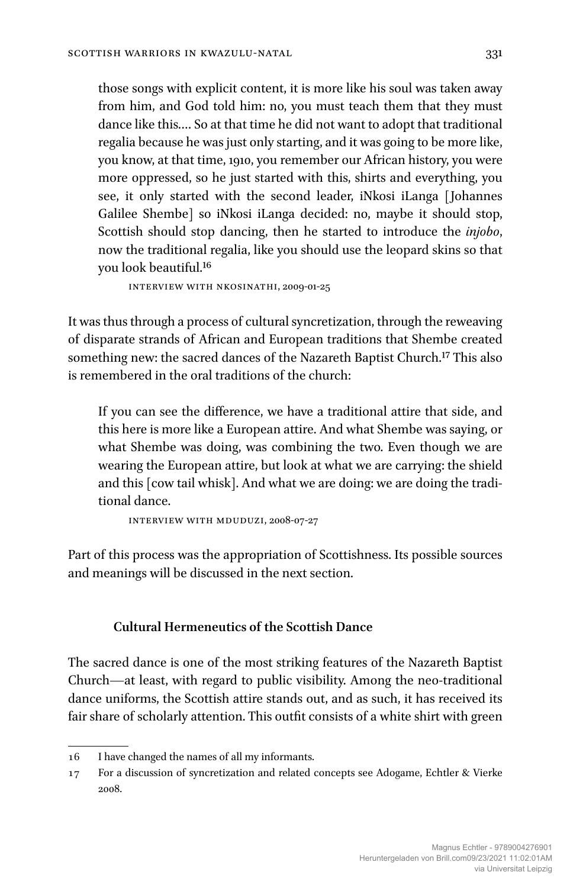those songs with explicit content, it is more like his soul was taken away from him, and God told him: no, you must teach them that they must dance like this.… So at that time he did not want to adopt that traditional regalia because he was just only starting, and it was going to be more like, you know, at that time, 1910, you remember our African history, you were more oppressed, so he just started with this, shirts and everything, you see, it only started with the second leader, iNkosi iLanga [Johannes Galilee Shembe] so iNkosi iLanga decided: no, maybe it should stop, Scottish should stop dancing, then he started to introduce the *injobo*, now the traditional regalia, like you should use the leopard skins so that you look beautiful.16

```
interview with nkosinathi, 2009-01-25
```
It was thus through a process of cultural syncretization, through the reweaving of disparate strands of African and European traditions that Shembe created something new: the sacred dances of the Nazareth Baptist Church.<sup>17</sup> This also is remembered in the oral traditions of the church:

If you can see the difference, we have a traditional attire that side, and this here is more like a European attire. And what Shembe was saying, or what Shembe was doing, was combining the two. Even though we are wearing the European attire, but look at what we are carrying: the shield and this [cow tail whisk]. And what we are doing: we are doing the traditional dance.

interview with mduduzi, 2008-07-27

Part of this process was the appropriation of Scottishness. Its possible sources and meanings will be discussed in the next section.

## **Cultural Hermeneutics of the Scottish Dance**

The sacred dance is one of the most striking features of the Nazareth Baptist Church—at least, with regard to public visibility. Among the neo-traditional dance uniforms, the Scottish attire stands out, and as such, it has received its fair share of scholarly attention. This outfit consists of a white shirt with green

<sup>16</sup> I have changed the names of all my informants.

<sup>17</sup> For a discussion of syncretization and related concepts see Adogame, Echtler & Vierke 2008.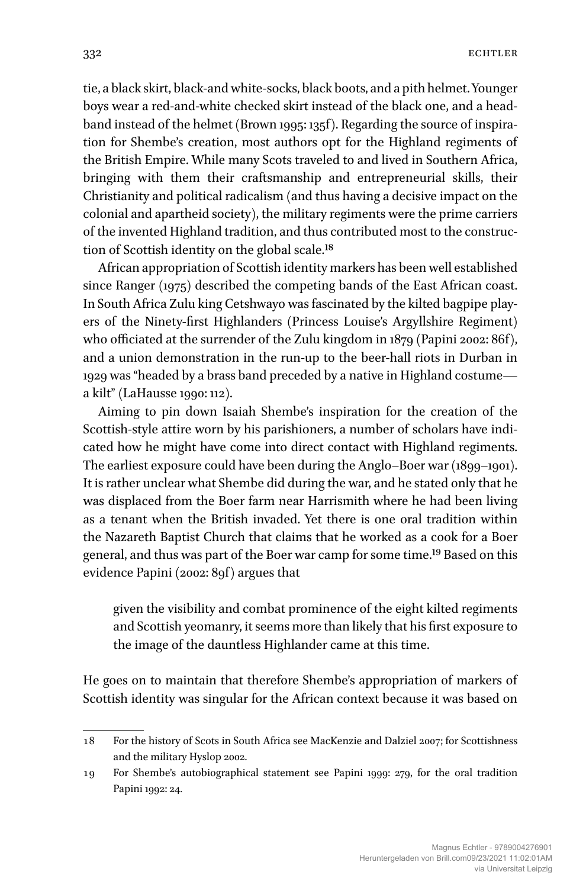tie, a black skirt, black-and white-socks, black boots, and a pith helmet. Younger boys wear a red-and-white checked skirt instead of the black one, and a headband instead of the helmet (Brown 1995: 135f). Regarding the source of inspiration for Shembe's creation, most authors opt for the Highland regiments of the British Empire. While many Scots traveled to and lived in Southern Africa, bringing with them their craftsmanship and entrepreneurial skills, their Christianity and political radicalism (and thus having a decisive impact on the colonial and apartheid society), the military regiments were the prime carriers of the invented Highland tradition, and thus contributed most to the construction of Scottish identity on the global scale.18

African appropriation of Scottish identity markers has been well established since Ranger (1975) described the competing bands of the East African coast. In South Africa Zulu king Cetshwayo was fascinated by the kilted bagpipe players of the Ninety-first Highlanders (Princess Louise's Argyllshire Regiment) who officiated at the surrender of the Zulu kingdom in 1879 (Papini 2002: 86f), and a union demonstration in the run-up to the beer-hall riots in Durban in 1929 was "headed by a brass band preceded by a native in Highland costume a kilt" (LaHausse 1990: 112).

Aiming to pin down Isaiah Shembe's inspiration for the creation of the Scottish-style attire worn by his parishioners, a number of scholars have indicated how he might have come into direct contact with Highland regiments. The earliest exposure could have been during the Anglo–Boer war (1899–1901). It is rather unclear what Shembe did during the war, and he stated only that he was displaced from the Boer farm near Harrismith where he had been living as a tenant when the British invaded. Yet there is one oral tradition within the Nazareth Baptist Church that claims that he worked as a cook for a Boer general, and thus was part of the Boer war camp for some time.19 Based on this evidence Papini (2002: 89f) argues that

given the visibility and combat prominence of the eight kilted regiments and Scottish yeomanry, it seems more than likely that his first exposure to the image of the dauntless Highlander came at this time.

He goes on to maintain that therefore Shembe's appropriation of markers of Scottish identity was singular for the African context because it was based on

<sup>18</sup> For the history of Scots in South Africa see MacKenzie and Dalziel 2007; for Scottishness and the military Hyslop 2002.

<sup>19</sup> For Shembe's autobiographical statement see Papini 1999: 279, for the oral tradition Papini 1992: 24.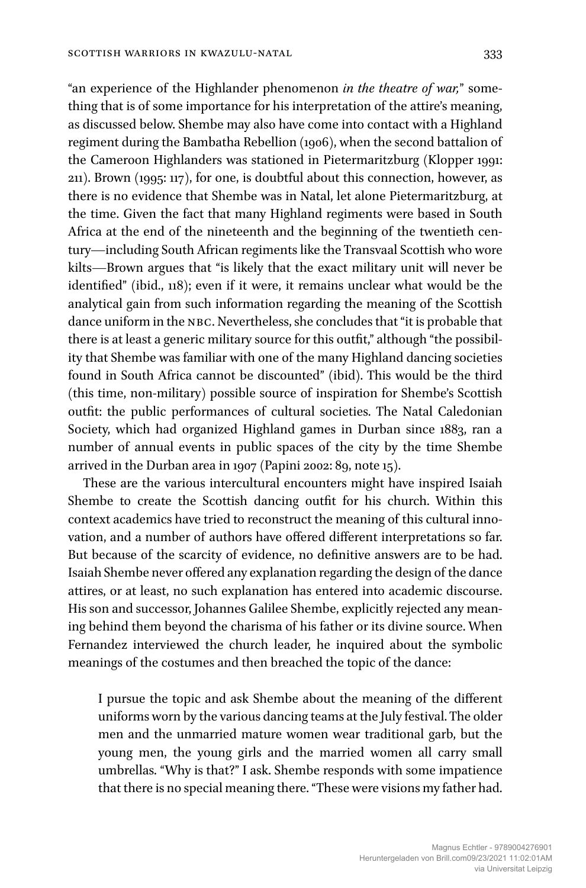"an experience of the Highlander phenomenon *in the theatre of war,*" something that is of some importance for his interpretation of the attire's meaning, as discussed below. Shembe may also have come into contact with a Highland regiment during the Bambatha Rebellion (1906), when the second battalion of the Cameroon Highlanders was stationed in Pietermaritzburg (Klopper 1991: 211). Brown (1995: 117), for one, is doubtful about this connection, however, as there is no evidence that Shembe was in Natal, let alone Pietermaritzburg, at the time. Given the fact that many Highland regiments were based in South Africa at the end of the nineteenth and the beginning of the twentieth century—including South African regiments like the Transvaal Scottish who wore kilts—Brown argues that "is likely that the exact military unit will never be identified" (ibid., 118); even if it were, it remains unclear what would be the analytical gain from such information regarding the meaning of the Scottish dance uniform in the NBC. Nevertheless, she concludes that "it is probable that there is at least a generic military source for this outfit," although "the possibility that Shembe was familiar with one of the many Highland dancing societies found in South Africa cannot be discounted" (ibid). This would be the third (this time, non-military) possible source of inspiration for Shembe's Scottish outfit: the public performances of cultural societies. The Natal Caledonian Society, which had organized Highland games in Durban since 1883, ran a number of annual events in public spaces of the city by the time Shembe arrived in the Durban area in 1907 (Papini 2002: 89, note 15).

These are the various intercultural encounters might have inspired Isaiah Shembe to create the Scottish dancing outfit for his church. Within this context academics have tried to reconstruct the meaning of this cultural innovation, and a number of authors have offered different interpretations so far. But because of the scarcity of evidence, no definitive answers are to be had. Isaiah Shembe never offered any explanation regarding the design of the dance attires, or at least, no such explanation has entered into academic discourse. His son and successor, Johannes Galilee Shembe, explicitly rejected any meaning behind them beyond the charisma of his father or its divine source. When Fernandez interviewed the church leader, he inquired about the symbolic meanings of the costumes and then breached the topic of the dance:

I pursue the topic and ask Shembe about the meaning of the different uniforms worn by the various dancing teams at the July festival. The older men and the unmarried mature women wear traditional garb, but the young men, the young girls and the married women all carry small umbrellas. "Why is that?" I ask. Shembe responds with some impatience that there is no special meaning there. "These were visions my father had.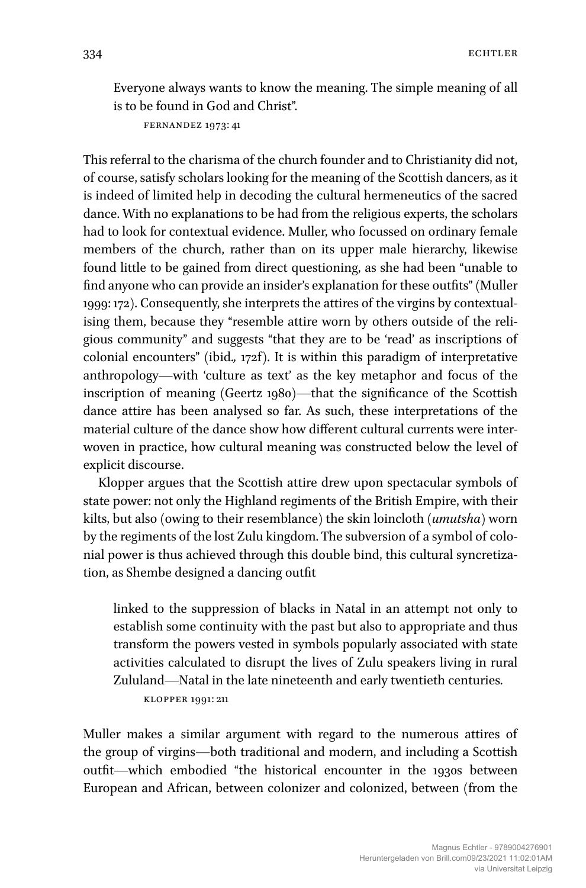Everyone always wants to know the meaning. The simple meaning of all is to be found in God and Christ".

fernandez 1973: 41

This referral to the charisma of the church founder and to Christianity did not, of course, satisfy scholars looking for the meaning of the Scottish dancers, as it is indeed of limited help in decoding the cultural hermeneutics of the sacred dance. With no explanations to be had from the religious experts, the scholars had to look for contextual evidence. Muller, who focussed on ordinary female members of the church, rather than on its upper male hierarchy, likewise found little to be gained from direct questioning, as she had been "unable to find anyone who can provide an insider's explanation for these outfits" (Muller 1999: 172). Consequently, she interprets the attires of the virgins by contextualising them, because they "resemble attire worn by others outside of the religious community" and suggests "that they are to be 'read' as inscriptions of colonial encounters" (ibid.*,* 172f). It is within this paradigm of interpretative anthropology—with 'culture as text' as the key metaphor and focus of the inscription of meaning (Geertz 1980)—that the significance of the Scottish dance attire has been analysed so far. As such, these interpretations of the material culture of the dance show how different cultural currents were interwoven in practice, how cultural meaning was constructed below the level of explicit discourse.

Klopper argues that the Scottish attire drew upon spectacular symbols of state power: not only the Highland regiments of the British Empire, with their kilts, but also (owing to their resemblance) the skin loincloth (*umutsha*) worn by the regiments of the lost Zulu kingdom. The subversion of a symbol of colonial power is thus achieved through this double bind, this cultural syncretization, as Shembe designed a dancing outfit

linked to the suppression of blacks in Natal in an attempt not only to establish some continuity with the past but also to appropriate and thus transform the powers vested in symbols popularly associated with state activities calculated to disrupt the lives of Zulu speakers living in rural Zululand—Natal in the late nineteenth and early twentieth centuries.

klopper 1991: 211

Muller makes a similar argument with regard to the numerous attires of the group of virgins—both traditional and modern, and including a Scottish outfit—which embodied "the historical encounter in the 1930s between European and African, between colonizer and colonized, between (from the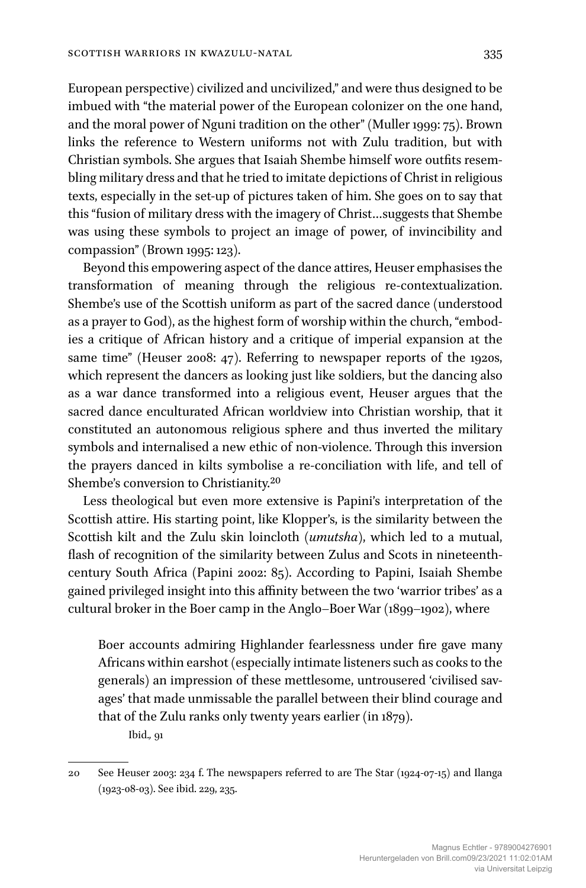European perspective) civilized and uncivilized," and were thus designed to be imbued with "the material power of the European colonizer on the one hand, and the moral power of Nguni tradition on the other" (Muller 1999: 75). Brown links the reference to Western uniforms not with Zulu tradition, but with Christian symbols. She argues that Isaiah Shembe himself wore outfits resembling military dress and that he tried to imitate depictions of Christ in religious texts, especially in the set-up of pictures taken of him. She goes on to say that this "fusion of military dress with the imagery of Christ…suggests that Shembe was using these symbols to project an image of power, of invincibility and compassion" (Brown 1995: 123).

Beyond this empowering aspect of the dance attires, Heuser emphasises the transformation of meaning through the religious re-contextualization. Shembe's use of the Scottish uniform as part of the sacred dance (understood as a prayer to God), as the highest form of worship within the church, "embodies a critique of African history and a critique of imperial expansion at the same time" (Heuser 2008: 47). Referring to newspaper reports of the 1920s, which represent the dancers as looking just like soldiers, but the dancing also as a war dance transformed into a religious event, Heuser argues that the sacred dance enculturated African worldview into Christian worship, that it constituted an autonomous religious sphere and thus inverted the military symbols and internalised a new ethic of non-violence. Through this inversion the prayers danced in kilts symbolise a re-conciliation with life, and tell of Shembe's conversion to Christianity.20

Less theological but even more extensive is Papini's interpretation of the Scottish attire. His starting point, like Klopper's, is the similarity between the Scottish kilt and the Zulu skin loincloth (*umutsha*), which led to a mutual, flash of recognition of the similarity between Zulus and Scots in nineteenthcentury South Africa (Papini 2002: 85). According to Papini, Isaiah Shembe gained privileged insight into this affinity between the two 'warrior tribes' as a cultural broker in the Boer camp in the Anglo–Boer War (1899–1902), where

Boer accounts admiring Highlander fearlessness under fire gave many Africans within earshot (especially intimate listeners such as cooks to the generals) an impression of these mettlesome, untrousered 'civilised savages' that made unmissable the parallel between their blind courage and that of the Zulu ranks only twenty years earlier (in 1879).

Ibid.*,* 91

<sup>20</sup> See Heuser 2003: 234 f. The newspapers referred to are The Star (1924-07-15) and Ilanga (1923-08-03). See ibid. 229, 235.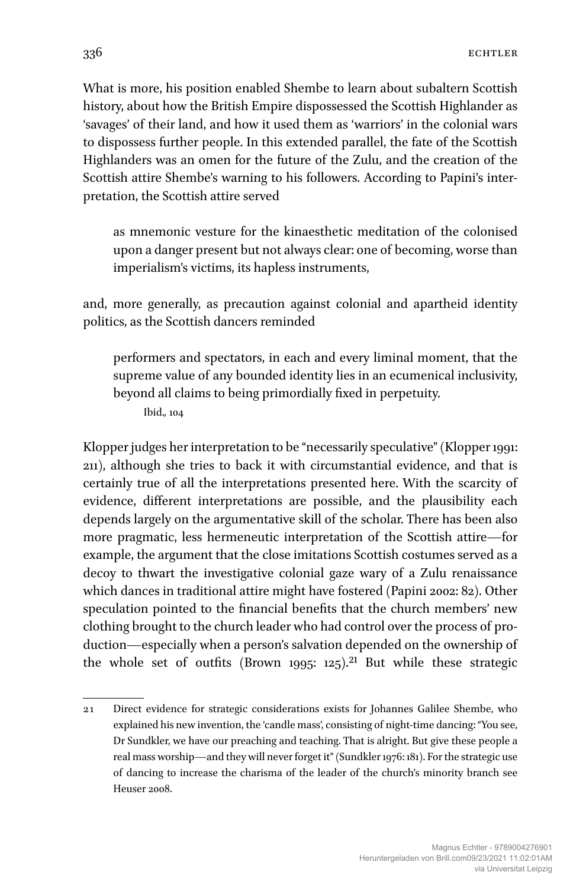What is more, his position enabled Shembe to learn about subaltern Scottish history, about how the British Empire dispossessed the Scottish Highlander as 'savages' of their land, and how it used them as 'warriors' in the colonial wars to dispossess further people. In this extended parallel, the fate of the Scottish Highlanders was an omen for the future of the Zulu, and the creation of the Scottish attire Shembe's warning to his followers. According to Papini's interpretation, the Scottish attire served

as mnemonic vesture for the kinaesthetic meditation of the colonised upon a danger present but not always clear: one of becoming, worse than imperialism's victims, its hapless instruments,

and, more generally, as precaution against colonial and apartheid identity politics, as the Scottish dancers reminded

performers and spectators, in each and every liminal moment, that the supreme value of any bounded identity lies in an ecumenical inclusivity, beyond all claims to being primordially fixed in perpetuity. Ibid.*,* 104

Klopper judges her interpretation to be "necessarily speculative" (Klopper 1991: 211), although she tries to back it with circumstantial evidence, and that is certainly true of all the interpretations presented here. With the scarcity of evidence, different interpretations are possible, and the plausibility each depends largely on the argumentative skill of the scholar. There has been also more pragmatic, less hermeneutic interpretation of the Scottish attire—for example, the argument that the close imitations Scottish costumes served as a decoy to thwart the investigative colonial gaze wary of a Zulu renaissance which dances in traditional attire might have fostered (Papini 2002: 82). Other speculation pointed to the financial benefits that the church members' new clothing brought to the church leader who had control over the process of production—especially when a person's salvation depended on the ownership of the whole set of outfits (Brown 1995: 125).<sup>21</sup> But while these strategic

<sup>21</sup> Direct evidence for strategic considerations exists for Johannes Galilee Shembe, who explained his new invention, the 'candle mass', consisting of night-time dancing: "You see, Dr Sundkler, we have our preaching and teaching. That is alright. But give these people a real mass worship—and they will never forget it" (Sundkler 1976: 181). For the strategic use of dancing to increase the charisma of the leader of the church's minority branch see Heuser 2008.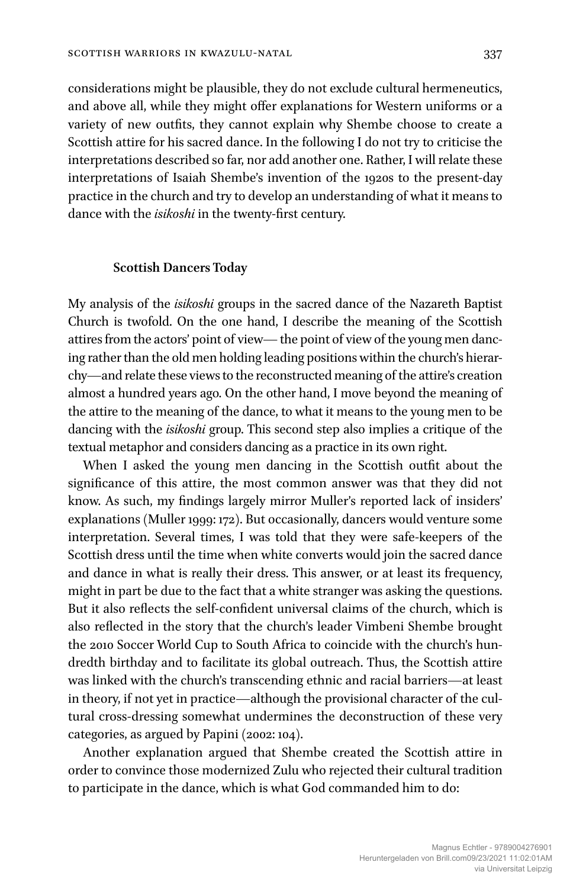considerations might be plausible, they do not exclude cultural hermeneutics, and above all, while they might offer explanations for Western uniforms or a variety of new outfits, they cannot explain why Shembe choose to create a Scottish attire for his sacred dance. In the following I do not try to criticise the interpretations described so far, nor add another one. Rather, I will relate these interpretations of Isaiah Shembe's invention of the 1920s to the present-day practice in the church and try to develop an understanding of what it means to dance with the *isikoshi* in the twenty-first century.

#### **Scottish Dancers Today**

My analysis of the *isikoshi* groups in the sacred dance of the Nazareth Baptist Church is twofold. On the one hand, I describe the meaning of the Scottish attires from the actors' point of view— the point of view of the young men dancing rather than the old men holding leading positions within the church's hierarchy—and relate these views to the reconstructed meaning of the attire's creation almost a hundred years ago. On the other hand, I move beyond the meaning of the attire to the meaning of the dance, to what it means to the young men to be dancing with the *isikoshi* group. This second step also implies a critique of the textual metaphor and considers dancing as a practice in its own right.

When I asked the young men dancing in the Scottish outfit about the significance of this attire, the most common answer was that they did not know. As such, my findings largely mirror Muller's reported lack of insiders' explanations (Muller 1999: 172). But occasionally, dancers would venture some interpretation. Several times, I was told that they were safe-keepers of the Scottish dress until the time when white converts would join the sacred dance and dance in what is really their dress. This answer, or at least its frequency, might in part be due to the fact that a white stranger was asking the questions. But it also reflects the self-confident universal claims of the church, which is also reflected in the story that the church's leader Vimbeni Shembe brought the 2010 Soccer World Cup to South Africa to coincide with the church's hundredth birthday and to facilitate its global outreach. Thus, the Scottish attire was linked with the church's transcending ethnic and racial barriers—at least in theory, if not yet in practice—although the provisional character of the cultural cross-dressing somewhat undermines the deconstruction of these very categories, as argued by Papini (2002: 104).

Another explanation argued that Shembe created the Scottish attire in order to convince those modernized Zulu who rejected their cultural tradition to participate in the dance, which is what God commanded him to do: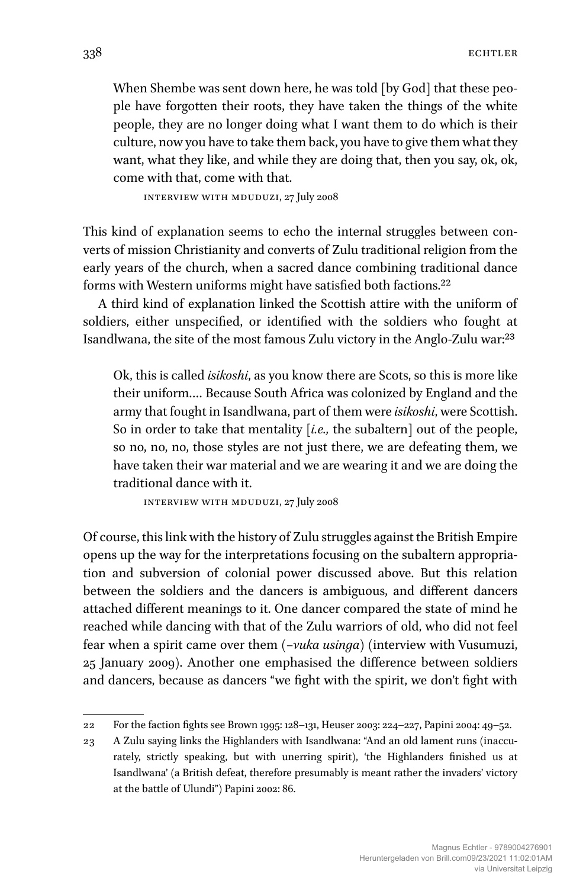When Shembe was sent down here, he was told [by God] that these people have forgotten their roots, they have taken the things of the white people, they are no longer doing what I want them to do which is their culture, now you have to take them back, you have to give them what they want, what they like, and while they are doing that, then you say, ok, ok, come with that, come with that.

interview with mduduzi, 27 July 2008

This kind of explanation seems to echo the internal struggles between converts of mission Christianity and converts of Zulu traditional religion from the early years of the church, when a sacred dance combining traditional dance forms with Western uniforms might have satisfied both factions.<sup>22</sup>

A third kind of explanation linked the Scottish attire with the uniform of soldiers, either unspecified, or identified with the soldiers who fought at Isandlwana, the site of the most famous Zulu victory in the Anglo-Zulu war:23

Ok, this is called *isikoshi*, as you know there are Scots, so this is more like their uniform.… Because South Africa was colonized by England and the army that fought in Isandlwana, part of them were *isikoshi*, were Scottish. So in order to take that mentality [*i.e.,* the subaltern] out of the people, so no, no, no, those styles are not just there, we are defeating them, we have taken their war material and we are wearing it and we are doing the traditional dance with it.

interview with mduduzi, 27 July 2008

Of course, this link with the history of Zulu struggles against the British Empire opens up the way for the interpretations focusing on the subaltern appropriation and subversion of colonial power discussed above. But this relation between the soldiers and the dancers is ambiguous, and different dancers attached different meanings to it. One dancer compared the state of mind he reached while dancing with that of the Zulu warriors of old, who did not feel fear when a spirit came over them (−*vuka usinga*) (interview with Vusumuzi, 25 January 2009). Another one emphasised the difference between soldiers and dancers, because as dancers "we fight with the spirit, we don't fight with

<sup>22</sup> For the faction fights see Brown 1995: 128–131, Heuser 2003: 224–227, Papini 2004: 49–52.

<sup>23</sup> A Zulu saying links the Highlanders with Isandlwana: "And an old lament runs (inaccurately, strictly speaking, but with unerring spirit), 'the Highlanders finished us at Isandlwana' (a British defeat, therefore presumably is meant rather the invaders' victory at the battle of Ulundi") Papini 2002: 86.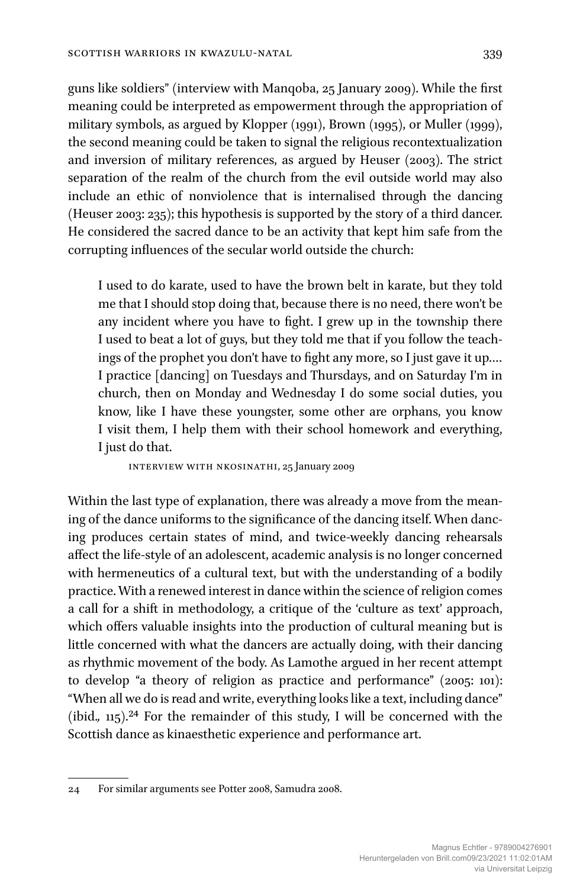guns like soldiers" (interview with Manqoba, 25 January 2009). While the first meaning could be interpreted as empowerment through the appropriation of military symbols, as argued by Klopper (1991), Brown (1995), or Muller (1999), the second meaning could be taken to signal the religious recontextualization and inversion of military references, as argued by Heuser (2003). The strict separation of the realm of the church from the evil outside world may also include an ethic of nonviolence that is internalised through the dancing (Heuser 2003: 235); this hypothesis is supported by the story of a third dancer. He considered the sacred dance to be an activity that kept him safe from the corrupting influences of the secular world outside the church:

I used to do karate, used to have the brown belt in karate, but they told me that I should stop doing that, because there is no need, there won't be any incident where you have to fight. I grew up in the township there I used to beat a lot of guys, but they told me that if you follow the teachings of the prophet you don't have to fight any more, so I just gave it up.… I practice [dancing] on Tuesdays and Thursdays, and on Saturday I'm in church, then on Monday and Wednesday I do some social duties, you know, like I have these youngster, some other are orphans, you know I visit them, I help them with their school homework and everything, I just do that.

interview with nkosinathi, 25 January 2009

Within the last type of explanation, there was already a move from the meaning of the dance uniforms to the significance of the dancing itself. When dancing produces certain states of mind, and twice-weekly dancing rehearsals affect the life-style of an adolescent, academic analysis is no longer concerned with hermeneutics of a cultural text, but with the understanding of a bodily practice. With a renewed interest in dance within the science of religion comes a call for a shift in methodology, a critique of the 'culture as text' approach, which offers valuable insights into the production of cultural meaning but is little concerned with what the dancers are actually doing, with their dancing as rhythmic movement of the body. As Lamothe argued in her recent attempt to develop "a theory of religion as practice and performance" (2005: 101): "When all we do is read and write, everything looks like a text, including dance" (ibid.*,* 115).24 For the remainder of this study, I will be concerned with the Scottish dance as kinaesthetic experience and performance art.

<sup>24</sup> For similar arguments see Potter 2008, Samudra 2008.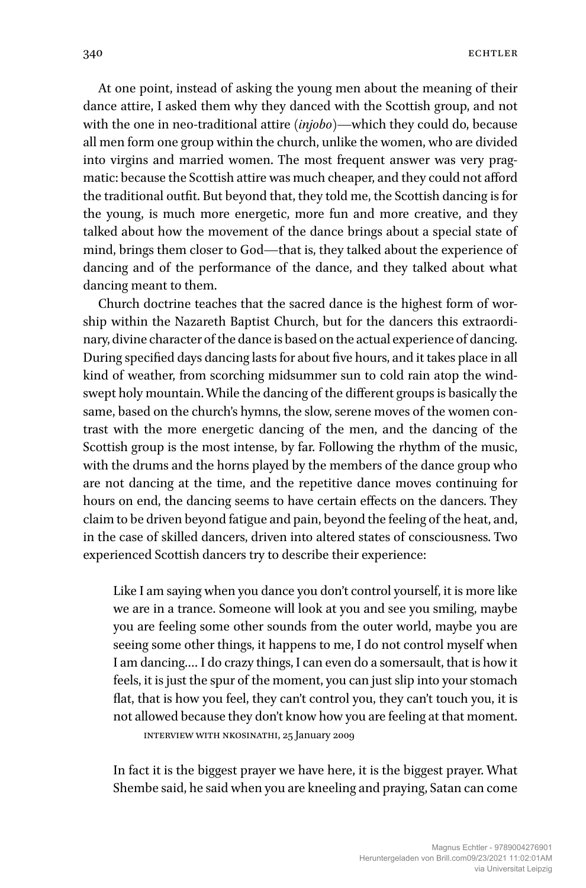At one point, instead of asking the young men about the meaning of their dance attire, I asked them why they danced with the Scottish group, and not with the one in neo-traditional attire (*injobo*)—which they could do, because all men form one group within the church, unlike the women, who are divided into virgins and married women. The most frequent answer was very pragmatic: because the Scottish attire was much cheaper, and they could not afford the traditional outfit. But beyond that, they told me, the Scottish dancing is for the young, is much more energetic, more fun and more creative, and they talked about how the movement of the dance brings about a special state of mind, brings them closer to God—that is, they talked about the experience of dancing and of the performance of the dance, and they talked about what dancing meant to them.

Church doctrine teaches that the sacred dance is the highest form of worship within the Nazareth Baptist Church, but for the dancers this extraordinary, divine character of the dance is based on the actual experience of dancing. During specified days dancing lasts for about five hours, and it takes place in all kind of weather, from scorching midsummer sun to cold rain atop the windswept holy mountain. While the dancing of the different groups is basically the same, based on the church's hymns, the slow, serene moves of the women contrast with the more energetic dancing of the men, and the dancing of the Scottish group is the most intense, by far. Following the rhythm of the music, with the drums and the horns played by the members of the dance group who are not dancing at the time, and the repetitive dance moves continuing for hours on end, the dancing seems to have certain effects on the dancers. They claim to be driven beyond fatigue and pain, beyond the feeling of the heat, and, in the case of skilled dancers, driven into altered states of consciousness. Two experienced Scottish dancers try to describe their experience:

Like I am saying when you dance you don't control yourself, it is more like we are in a trance. Someone will look at you and see you smiling, maybe you are feeling some other sounds from the outer world, maybe you are seeing some other things, it happens to me, I do not control myself when I am dancing.… I do crazy things, I can even do a somersault, that is how it feels, it is just the spur of the moment, you can just slip into your stomach flat, that is how you feel, they can't control you, they can't touch you, it is not allowed because they don't know how you are feeling at that moment. interview with nkosinathi, 25 January 2009

In fact it is the biggest prayer we have here, it is the biggest prayer. What Shembe said, he said when you are kneeling and praying, Satan can come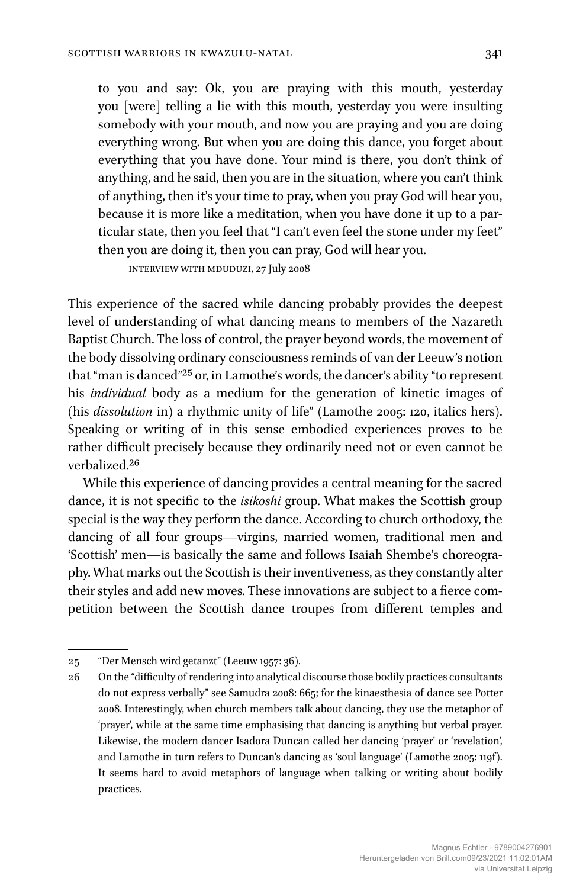to you and say: Ok, you are praying with this mouth, yesterday you [were] telling a lie with this mouth, yesterday you were insulting somebody with your mouth, and now you are praying and you are doing everything wrong. But when you are doing this dance, you forget about everything that you have done. Your mind is there, you don't think of anything, and he said, then you are in the situation, where you can't think of anything, then it's your time to pray, when you pray God will hear you, because it is more like a meditation, when you have done it up to a particular state, then you feel that "I can't even feel the stone under my feet" then you are doing it, then you can pray, God will hear you.

interview with mduduzi, 27 July 2008

This experience of the sacred while dancing probably provides the deepest level of understanding of what dancing means to members of the Nazareth Baptist Church. The loss of control, the prayer beyond words, the movement of the body dissolving ordinary consciousness reminds of van der Leeuw's notion that "man is danced"25 or, in Lamothe's words, the dancer's ability "to represent his *individual* body as a medium for the generation of kinetic images of (his *dissolution* in) a rhythmic unity of life" (Lamothe 2005: 120, italics hers). Speaking or writing of in this sense embodied experiences proves to be rather difficult precisely because they ordinarily need not or even cannot be verbalized.26

While this experience of dancing provides a central meaning for the sacred dance, it is not specific to the *isikoshi* group. What makes the Scottish group special is the way they perform the dance. According to church orthodoxy, the dancing of all four groups—virgins, married women, traditional men and 'Scottish' men—is basically the same and follows Isaiah Shembe's choreography. What marks out the Scottish is their inventiveness, as they constantly alter their styles and add new moves. These innovations are subject to a fierce competition between the Scottish dance troupes from different temples and

<sup>25</sup> "Der Mensch wird getanzt" (Leeuw 1957: 36).

<sup>26</sup> On the "difficulty of rendering into analytical discourse those bodily practices consultants do not express verbally" see Samudra 2008: 665; for the kinaesthesia of dance see Potter 2008. Interestingly, when church members talk about dancing, they use the metaphor of 'prayer', while at the same time emphasising that dancing is anything but verbal prayer. Likewise, the modern dancer Isadora Duncan called her dancing 'prayer' or 'revelation', and Lamothe in turn refers to Duncan's dancing as 'soul language' (Lamothe 2005: 119f). It seems hard to avoid metaphors of language when talking or writing about bodily practices.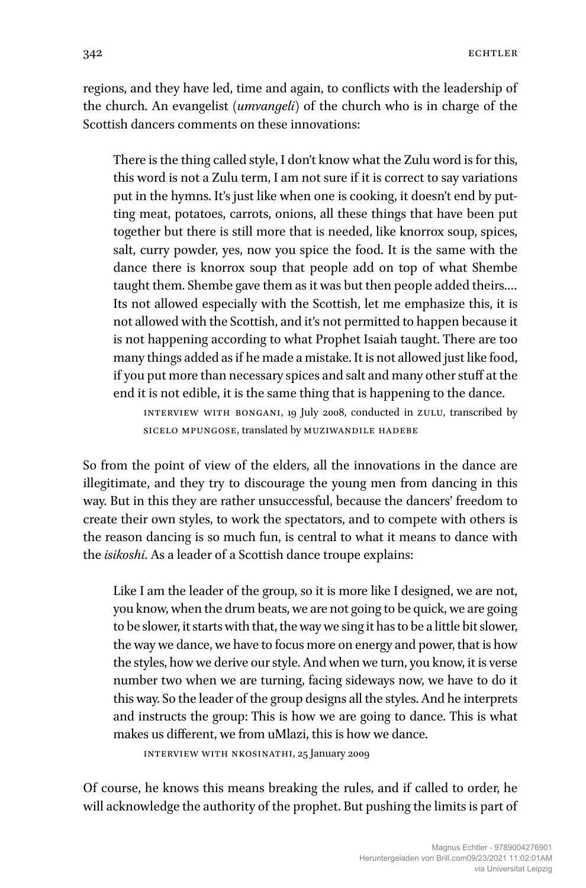regions, and they have led, time and again, to conflicts with the leadership of the church. An evangelist (*umvangeli*) of the church who is in charge of the Scottish dancers comments on these innovations:

There is the thing called style, I don't know what the Zulu word is for this, this word is not a Zulu term, I am not sure if it is correct to say variations put in the hymns. It's just like when one is cooking, it doesn't end by putting meat, potatoes, carrots, onions, all these things that have been put together but there is still more that is needed, like knorrox soup, spices, salt, curry powder, yes, now you spice the food. It is the same with the dance there is knorrox soup that people add on top of what Shembe taught them. Shembe gave them as it was but then people added theirs.… Its not allowed especially with the Scottish, let me emphasize this, it is not allowed with the Scottish, and it's not permitted to happen because it is not happening according to what Prophet Isaiah taught. There are too many things added as if he made a mistake. It is not allowed just like food, if you put more than necessary spices and salt and many other stuff at the end it is not edible, it is the same thing that is happening to the dance.

interview with bongani, 19 July 2008, conducted in zulu, transcribed by sicelo mpungose, translated by muziwandile hadebe

So from the point of view of the elders, all the innovations in the dance are illegitimate, and they try to discourage the young men from dancing in this way. But in this they are rather unsuccessful, because the dancers' freedom to create their own styles, to work the spectators, and to compete with others is the reason dancing is so much fun, is central to what it means to dance with the *isikoshi*. As a leader of a Scottish dance troupe explains:

Like I am the leader of the group, so it is more like I designed, we are not, you know, when the drum beats, we are not going to be quick, we are going to be slower, it starts with that, the way we sing it has to be a little bit slower, the way we dance, we have to focus more on energy and power, that is how the styles, how we derive our style. And when we turn, you know, it is verse number two when we are turning, facing sideways now, we have to do it this way. So the leader of the group designs all the styles. And he interprets and instructs the group: This is how we are going to dance. This is what makes us different, we from uMlazi, this is how we dance.

interview with nkosinathi, 25 January 2009

Of course, he knows this means breaking the rules, and if called to order, he will acknowledge the authority of the prophet. But pushing the limits is part of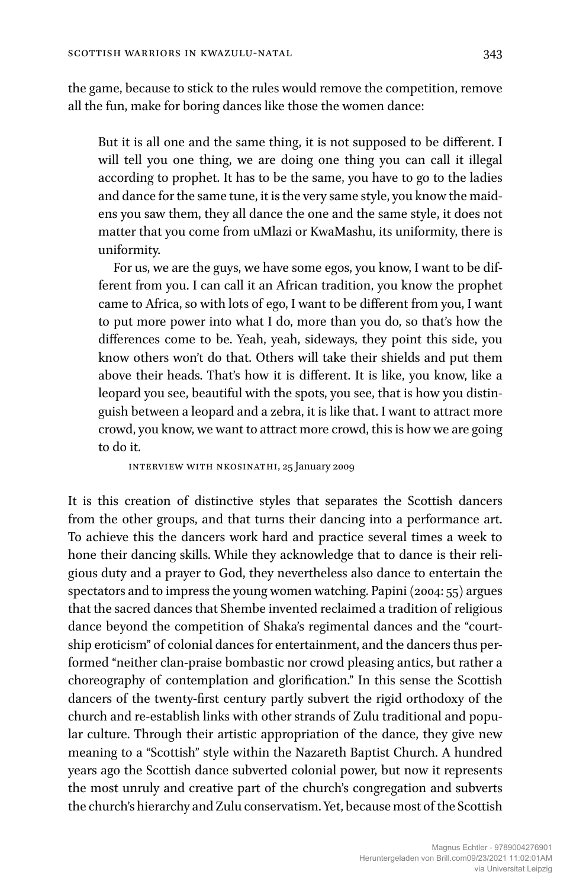the game, because to stick to the rules would remove the competition, remove all the fun, make for boring dances like those the women dance:

But it is all one and the same thing, it is not supposed to be different. I will tell you one thing, we are doing one thing you can call it illegal according to prophet. It has to be the same, you have to go to the ladies and dance for the same tune, it is the very same style, you know the maidens you saw them, they all dance the one and the same style, it does not matter that you come from uMlazi or KwaMashu, its uniformity, there is uniformity.

For us, we are the guys, we have some egos, you know, I want to be different from you. I can call it an African tradition, you know the prophet came to Africa, so with lots of ego, I want to be different from you, I want to put more power into what I do, more than you do, so that's how the differences come to be. Yeah, yeah, sideways, they point this side, you know others won't do that. Others will take their shields and put them above their heads. That's how it is different. It is like, you know, like a leopard you see, beautiful with the spots, you see, that is how you distinguish between a leopard and a zebra, it is like that. I want to attract more crowd, you know, we want to attract more crowd, this is how we are going to do it.

interview with nkosinathi, 25 January 2009

It is this creation of distinctive styles that separates the Scottish dancers from the other groups, and that turns their dancing into a performance art. To achieve this the dancers work hard and practice several times a week to hone their dancing skills. While they acknowledge that to dance is their religious duty and a prayer to God, they nevertheless also dance to entertain the spectators and to impress the young women watching. Papini (2004: 55) argues that the sacred dances that Shembe invented reclaimed a tradition of religious dance beyond the competition of Shaka's regimental dances and the "courtship eroticism" of colonial dances for entertainment, and the dancers thus performed "neither clan-praise bombastic nor crowd pleasing antics, but rather a choreography of contemplation and glorification." In this sense the Scottish dancers of the twenty-first century partly subvert the rigid orthodoxy of the church and re-establish links with other strands of Zulu traditional and popular culture. Through their artistic appropriation of the dance, they give new meaning to a "Scottish" style within the Nazareth Baptist Church. A hundred years ago the Scottish dance subverted colonial power, but now it represents the most unruly and creative part of the church's congregation and subverts the church's hierarchy and Zulu conservatism. Yet, because most of the Scottish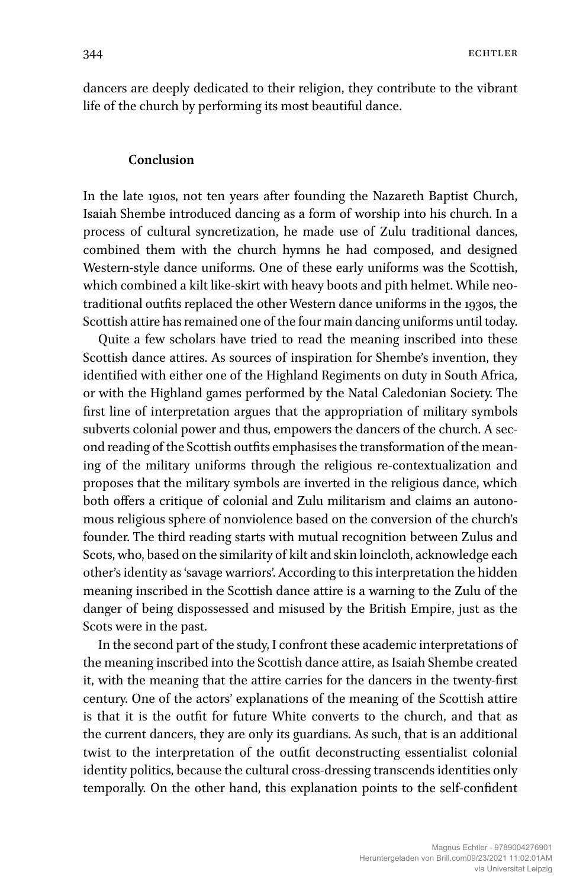dancers are deeply dedicated to their religion, they contribute to the vibrant life of the church by performing its most beautiful dance.

#### **Conclusion**

In the late 1910s, not ten years after founding the Nazareth Baptist Church, Isaiah Shembe introduced dancing as a form of worship into his church. In a process of cultural syncretization, he made use of Zulu traditional dances, combined them with the church hymns he had composed, and designed Western-style dance uniforms. One of these early uniforms was the Scottish, which combined a kilt like-skirt with heavy boots and pith helmet. While neotraditional outfits replaced the other Western dance uniforms in the 1930s, the Scottish attire has remained one of the four main dancing uniforms until today.

Quite a few scholars have tried to read the meaning inscribed into these Scottish dance attires. As sources of inspiration for Shembe's invention, they identified with either one of the Highland Regiments on duty in South Africa, or with the Highland games performed by the Natal Caledonian Society. The first line of interpretation argues that the appropriation of military symbols subverts colonial power and thus, empowers the dancers of the church. A second reading of the Scottish outfits emphasises the transformation of the meaning of the military uniforms through the religious re-contextualization and proposes that the military symbols are inverted in the religious dance, which both offers a critique of colonial and Zulu militarism and claims an autonomous religious sphere of nonviolence based on the conversion of the church's founder. The third reading starts with mutual recognition between Zulus and Scots, who, based on the similarity of kilt and skin loincloth, acknowledge each other's identity as 'savage warriors'. According to this interpretation the hidden meaning inscribed in the Scottish dance attire is a warning to the Zulu of the danger of being dispossessed and misused by the British Empire, just as the Scots were in the past.

In the second part of the study, I confront these academic interpretations of the meaning inscribed into the Scottish dance attire, as Isaiah Shembe created it, with the meaning that the attire carries for the dancers in the twenty-first century. One of the actors' explanations of the meaning of the Scottish attire is that it is the outfit for future White converts to the church, and that as the current dancers, they are only its guardians. As such, that is an additional twist to the interpretation of the outfit deconstructing essentialist colonial identity politics, because the cultural cross-dressing transcends identities only temporally. On the other hand, this explanation points to the self-confident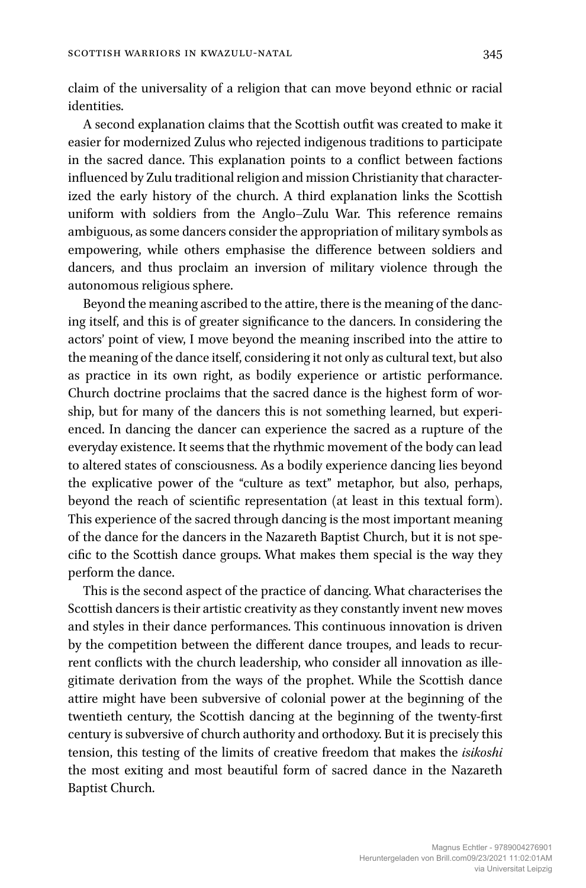claim of the universality of a religion that can move beyond ethnic or racial identities.

A second explanation claims that the Scottish outfit was created to make it easier for modernized Zulus who rejected indigenous traditions to participate in the sacred dance. This explanation points to a conflict between factions influenced by Zulu traditional religion and mission Christianity that characterized the early history of the church. A third explanation links the Scottish uniform with soldiers from the Anglo–Zulu War. This reference remains ambiguous, as some dancers consider the appropriation of military symbols as empowering, while others emphasise the difference between soldiers and dancers, and thus proclaim an inversion of military violence through the autonomous religious sphere.

Beyond the meaning ascribed to the attire, there is the meaning of the dancing itself, and this is of greater significance to the dancers. In considering the actors' point of view, I move beyond the meaning inscribed into the attire to the meaning of the dance itself, considering it not only as cultural text, but also as practice in its own right, as bodily experience or artistic performance. Church doctrine proclaims that the sacred dance is the highest form of worship, but for many of the dancers this is not something learned, but experienced. In dancing the dancer can experience the sacred as a rupture of the everyday existence. It seems that the rhythmic movement of the body can lead to altered states of consciousness. As a bodily experience dancing lies beyond the explicative power of the "culture as text" metaphor, but also, perhaps, beyond the reach of scientific representation (at least in this textual form). This experience of the sacred through dancing is the most important meaning of the dance for the dancers in the Nazareth Baptist Church, but it is not specific to the Scottish dance groups. What makes them special is the way they perform the dance.

This is the second aspect of the practice of dancing. What characterises the Scottish dancers is their artistic creativity as they constantly invent new moves and styles in their dance performances. This continuous innovation is driven by the competition between the different dance troupes, and leads to recurrent conflicts with the church leadership, who consider all innovation as illegitimate derivation from the ways of the prophet. While the Scottish dance attire might have been subversive of colonial power at the beginning of the twentieth century, the Scottish dancing at the beginning of the twenty-first century is subversive of church authority and orthodoxy. But it is precisely this tension, this testing of the limits of creative freedom that makes the *isikoshi* the most exiting and most beautiful form of sacred dance in the Nazareth Baptist Church.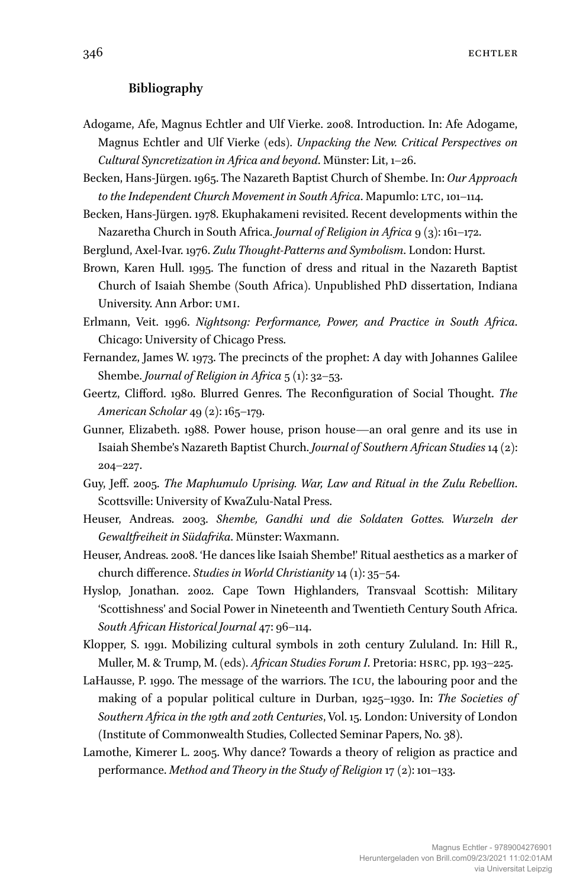## **Bibliography**

- Adogame, Afe, Magnus Echtler and Ulf Vierke. 2008. Introduction. In: Afe Adogame, Magnus Echtler and Ulf Vierke (eds). *Unpacking the New. Critical Perspectives on Cultural Syncretization in Africa and beyond*. Münster: Lit, 1–26.
- Becken, Hans-Jürgen. 1965. The Nazareth Baptist Church of Shembe. In: *Our Approach*  to the Independent Church Movement in South Africa. Mapumlo: LTC, 101–114.
- Becken, Hans-Jürgen. 1978. Ekuphakameni revisited. Recent developments within the Nazaretha Church in South Africa. *Journal of Religion in Africa* 9 (3): 161–172.
- Berglund, Axel-Ivar. 1976. *Zulu Thought-Patterns and Symbolism*. London: Hurst.
- Brown, Karen Hull. 1995. The function of dress and ritual in the Nazareth Baptist Church of Isaiah Shembe (South Africa). Unpublished PhD dissertation, Indiana University. Ann Arbor: umi.
- Erlmann, Veit. 1996. *Nightsong: Performance, Power, and Practice in South Africa*. Chicago: University of Chicago Press.
- Fernandez, James W. 1973. The precincts of the prophet: A day with Johannes Galilee Shembe. *Journal of Religion in Africa* 5 (1): 32–53.
- Geertz, Clifford. 1980. Blurred Genres. The Reconfiguration of Social Thought. *The American Scholar* 49 (2): 165–179.
- Gunner, Elizabeth. 1988. Power house, prison house—an oral genre and its use in Isaiah Shembe's Nazareth Baptist Church. *Journal of Southern African Studies* 14 (2): 204–227.
- Guy, Jeff. 2005. *The Maphumulo Uprising. War, Law and Ritual in the Zulu Rebellion*. Scottsville: University of KwaZulu-Natal Press.
- Heuser, Andreas. 2003. *Shembe, Gandhi und die Soldaten Gottes. Wurzeln der Gewaltfreiheit in Südafrika*. Münster: Waxmann.
- Heuser, Andreas. 2008. 'He dances like Isaiah Shembe!' Ritual aesthetics as a marker of church difference. *Studies in World Christianity* 14 (1): 35–54.
- Hyslop, Jonathan. 2002. Cape Town Highlanders, Transvaal Scottish: Military 'Scottishness' and Social Power in Nineteenth and Twentieth Century South Africa. *South African Historical Journal* 47: 96–114.
- Klopper, S. 1991. Mobilizing cultural symbols in 20th century Zululand. In: Hill R., Muller, M. & Trump, M. (eds). *African Studies Forum I*. Pretoria: hsrc, pp. 193–225.
- LaHausse, P. 1990. The message of the warriors. The icu, the labouring poor and the making of a popular political culture in Durban, 1925–1930. In: *The Societies of Southern Africa in the 19th and 20th Centuries*, Vol. 15. London: University of London (Institute of Commonwealth Studies, Collected Seminar Papers, No. 38).
- Lamothe, Kimerer L. 2005. Why dance? Towards a theory of religion as practice and performance. *Method and Theory in the Study of Religion* 17 (2): 101–133.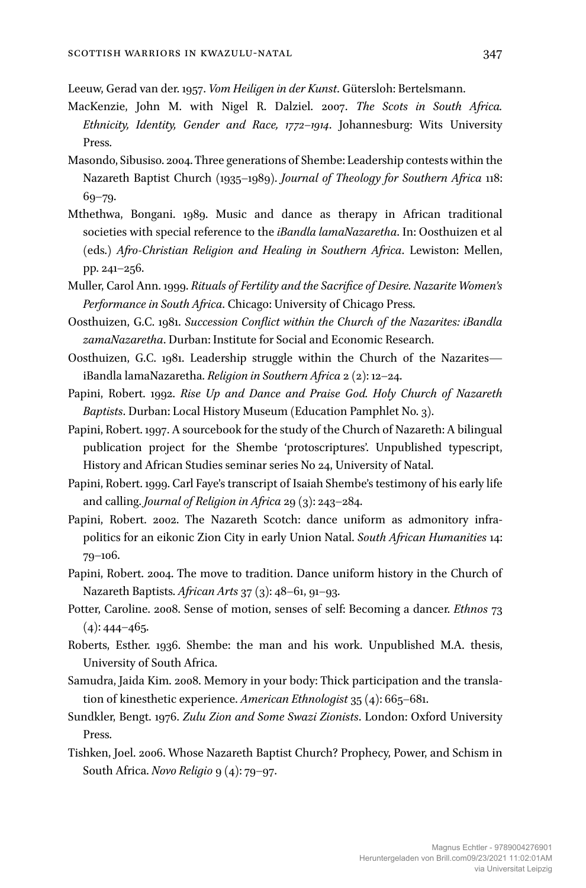Leeuw, Gerad van der. 1957. *Vom Heiligen in der Kunst*. Gütersloh: Bertelsmann.

- MacKenzie, John M. with Nigel R. Dalziel. 2007. *The Scots in South Africa. Ethnicity, Identity, Gender and Race, 1772–1914*. Johannesburg: Wits University Press.
- Masondo, Sibusiso. 2004. Three generations of Shembe: Leadership contests within the Nazareth Baptist Church (1935–1989). *Journal of Theology for Southern Africa* 118: 69–79.
- Mthethwa, Bongani. 1989. Music and dance as therapy in African traditional societies with special reference to the *iBandla lamaNazaretha*. In: Oosthuizen et al (eds.) *Afro-Christian Religion and Healing in Southern Africa*. Lewiston: Mellen, pp. 241–256.
- Muller, Carol Ann. 1999. *Rituals of Fertility and the Sacrifice of Desire. Nazarite Women's Performance in South Africa*. Chicago: University of Chicago Press.
- Oosthuizen, G.C. 1981. *Succession Conflict within the Church of the Nazarites: iBandla zamaNazaretha*. Durban: Institute for Social and Economic Research.
- Oosthuizen, G.C. 1981. Leadership struggle within the Church of the Nazarites iBandla lamaNazaretha. *Religion in Southern Africa* 2 (2): 12–24.
- Papini, Robert. 1992. *Rise Up and Dance and Praise God. Holy Church of Nazareth Baptists*. Durban: Local History Museum (Education Pamphlet No. 3).
- Papini, Robert. 1997. A sourcebook for the study of the Church of Nazareth: A bilingual publication project for the Shembe 'protoscriptures'. Unpublished typescript, History and African Studies seminar series No 24, University of Natal.
- Papini, Robert. 1999. Carl Faye's transcript of Isaiah Shembe's testimony of his early life and calling. *Journal of Religion in Africa* 29 (3): 243–284.
- Papini, Robert. 2002. The Nazareth Scotch: dance uniform as admonitory infrapolitics for an eikonic Zion City in early Union Natal. *South African Humanities* 14: 79–106.
- Papini, Robert. 2004. The move to tradition. Dance uniform history in the Church of Nazareth Baptists. *African Arts* 37 (3): 48–61, 91–93.
- Potter, Caroline. 2008. Sense of motion, senses of self: Becoming a dancer. *Ethnos* 73  $(4): 444 - 465.$
- Roberts, Esther. 1936. Shembe: the man and his work. Unpublished M.A. thesis, University of South Africa.
- Samudra, Jaida Kim. 2008. Memory in your body: Thick participation and the translation of kinesthetic experience. *American Ethnologist* 35 (4): 665–681.
- Sundkler, Bengt. 1976. *Zulu Zion and Some Swazi Zionists*. London: Oxford University Press.
- Tishken, Joel. 2006. Whose Nazareth Baptist Church? Prophecy, Power, and Schism in South Africa. *Novo Religio* 9 (4): 79–97.